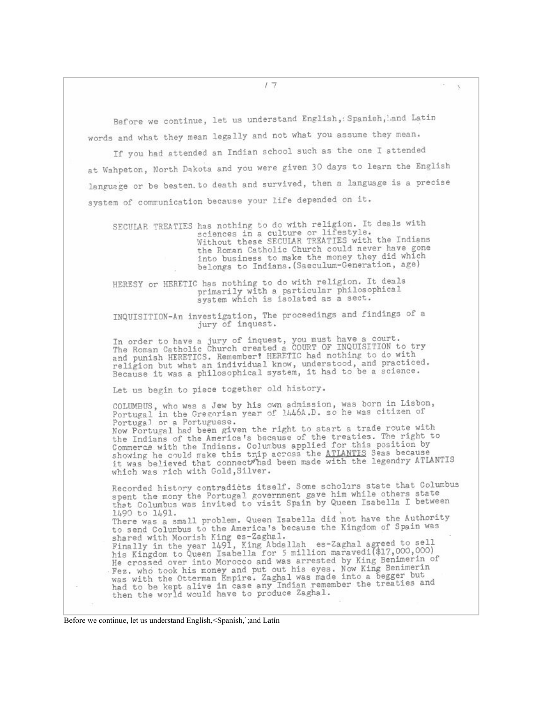Before we continue, let us understand English, Spanish, and Latin words and what they mean legally and not what you assume they mean.

If you had attended an Indian school such as the one I attended at Wahpeton, North Dakota and you were given 30 days to learn the English language or be beaten to death and survived, then a language is a precise system of communication because your life depended on it.

SECULAR TREATIES has nothing to do with religion. It deals with sciences in a culture or lifestyle. Without these SECULAR TREATIES with the Indians the Roman Catholic Church could never have gone into business to make the money they did which belongs to Indians. (Saeculum-Generation, age)

HERESY or HERETIC has nothing to do with religion. It deals primarily with a particular philosophical<br>system which is isolated as a sect.

INQUISITION-An investigation, The proceedings and findings of a jury of inquest.

In order to have a jury of inquest, you must have a court.<br>The Roman Catholic Church created a COURT OF INQUISITION to try<br>and punish HERETICS. Remember' HERETIC had nothing to do with<br>religion but what an individual know,

Let us begin to piece together old history.

COLUMBUS, who was a Jew by his own admission, was born in Lisbon,<br>Portugal in the Gregorian year of 1446A.D. so he was citizen of Portugal or a Portuguese. Now Portugal had been given the right to start a trade route with the Indians of the America's because of the treaties. The right to Commerce with the Indians. Columbus applied for this position by showing he could make this trip across the ATIANTIS Seas because it was believed that conn which was rich with Gold, Silver.

Recorded history contradicts itself. Some scholars state that Columbus spent the mony the Portugal government gave him while others state that Columbus was invited to visit Spain by Queen Isabella I between 1490 to 1491. There was a small problem. Queen Isabella did not have the Authority to send Columbus to the America's because the Kingdom of Spain was shared with Moorish King es-Zaghal. Finally in the year 1491, King Abdallah es-Zaghal agreed to sell<br>his Kingdom to Queen Isabella for 5 million maravedi(\$17,000,000) He crossed over into Morocco and was arrested by King Benimerin of Fez. who took his money and put out his eyes. Now King Benimerin<br>was with the Otterman Empire. Zaghal was made into a begger but had to be kept alive in case any Indian remember the treaties and then the world would have to produce Zaghal.